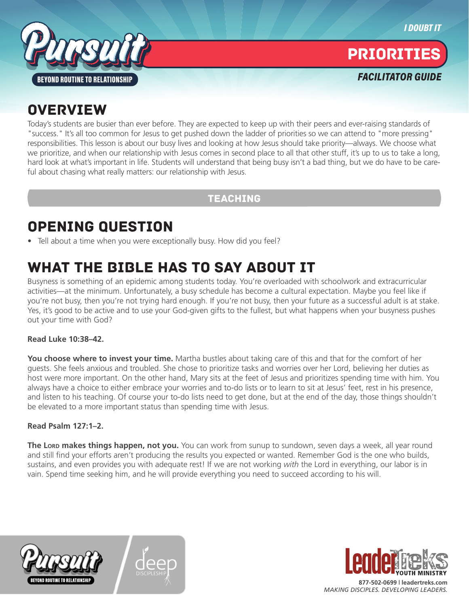



PRIORITIES

*FACILITATOR GUIDE*

## **OVERVIEW**

Today's students are busier than ever before. They are expected to keep up with their peers and ever-raising standards of "success." It's all too common for Jesus to get pushed down the ladder of priorities so we can attend to "more pressing" responsibilities. This lesson is about our busy lives and looking at how Jesus should take priority—always. We choose what we prioritize, and when our relationship with Jesus comes in second place to all that other stuff, it's up to us to take a long, hard look at what's important in life. Students will understand that being busy isn't a bad thing, but we do have to be careful about chasing what really matters: our relationship with Jesus.

#### TEACHING

## OPENING QUESTION

• Tell about a time when you were exceptionally busy. How did you feel?

## WHAT THE BIBLE HAS TO SAY ABOUT IT

Busyness is something of an epidemic among students today. You're overloaded with schoolwork and extracurricular activities—at the minimum. Unfortunately, a busy schedule has become a cultural expectation. Maybe you feel like if you're not busy, then you're not trying hard enough. If you're not busy, then your future as a successful adult is at stake. Yes, it's good to be active and to use your God-given gifts to the fullest, but what happens when your busyness pushes out your time with God?

#### **Read Luke 10:38–42.**

**You choose where to invest your time.** Martha bustles about taking care of this and that for the comfort of her guests. She feels anxious and troubled. She chose to prioritize tasks and worries over her Lord, believing her duties as host were more important. On the other hand, Mary sits at the feet of Jesus and prioritizes spending time with him. You always have a choice to either embrace your worries and to-do lists or to learn to sit at Jesus' feet, rest in his presence, and listen to his teaching. Of course your to-do lists need to get done, but at the end of the day, those things shouldn't be elevated to a more important status than spending time with Jesus.

#### **Read Psalm 127:1–2.**

**The Lord makes things happen, not you.** You can work from sunup to sundown, seven days a week, all year round and still find your efforts aren't producing the results you expected or wanted. Remember God is the one who builds, sustains, and even provides you with adequate rest! If we are not working *with* the Lord in everything, our labor is in vain. Spend time seeking him, and he will provide everything you need to succeed according to his will.







*MAKING DISCIPLES. DEVELOPING LEADERS.*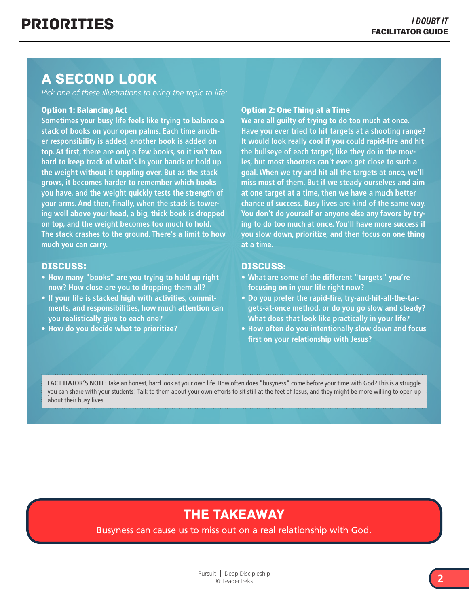### A SECOND LOOK

*Pick one of these illustrations to bring the topic to life:*

#### Option 1: Balancing Act

**Sometimes your busy life feels like trying to balance a stack of books on your open palms. Each time another responsibility is added, another book is added on top. At first, there are only a few books, so it isn't too hard to keep track of what's in your hands or hold up the weight without it toppling over. But as the stack grows, it becomes harder to remember which books you have, and the weight quickly tests the strength of your arms. And then, finally, when the stack is towering well above your head, a big, thick book is dropped on top, and the weight becomes too much to hold. The stack crashes to the ground. There's a limit to how much you can carry.** 

#### Discuss:

- **• How many "books" are you trying to hold up right now? How close are you to dropping them all?**
- **• If your life is stacked high with activities, commitments, and responsibilities, how much attention can you realistically give to each one?**
- **• How do you decide what to prioritize?**

#### Option 2: One Thing at a Time

**We are all guilty of trying to do too much at once. Have you ever tried to hit targets at a shooting range? It would look really cool if you could rapid-fire and hit the bullseye of each target, like they do in the movies, but most shooters can't even get close to such a goal. When we try and hit all the targets at once, we'll miss most of them. But if we steady ourselves and aim at one target at a time, then we have a much better chance of success. Busy lives are kind of the same way. You don't do yourself or anyone else any favors by trying to do too much at once. You'll have more success if you slow down, prioritize, and then focus on one thing at a time.** 

#### Discuss:

- **• What are some of the different "targets" you're focusing on in your life right now?**
- **• Do you prefer the rapid-fire, try-and-hit-all-the-targets-at-once method, or do you go slow and steady? What does that look like practically in your life?**
- **• How often do you intentionally slow down and focus first on your relationship with Jesus?**

**FACILITATOR'S NOTE:** Take an honest, hard look at your own life. How often does "busyness" come before your time with God? This is a struggle you can share with your students! Talk to them about your own efforts to sit still at the feet of Jesus, and they might be more willing to open up about their busy lives.

### THE TAKEAWAY

Busyness can cause us to miss out on a real relationship with God.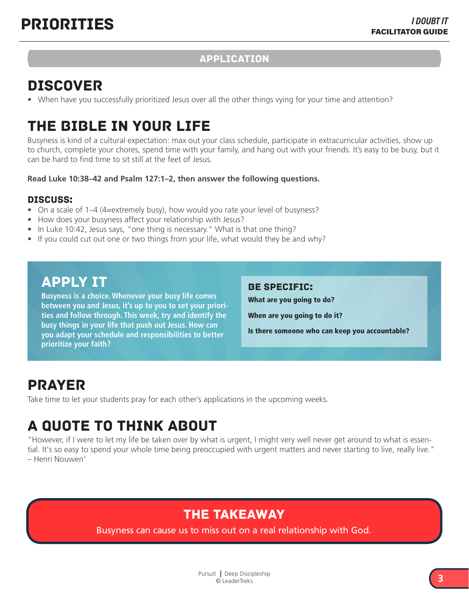#### APPLICATION

## DISCOVER

• When have you successfully prioritized Jesus over all the other things vying for your time and attention?

## THE BIBLE IN YOUR LIFE

Busyness is kind of a cultural expectation: max out your class schedule, participate in extracurricular activities, show up to church, complete your chores, spend time with your family, and hang out with your friends. It's easy to be busy, but it can be hard to find time to sit still at the feet of Jesus.

#### **Read Luke 10:38–42 and Psalm 127:1–2, then answer the following questions.**

#### Discuss:

- On a scale of 1–4 (4=extremely busy), how would you rate your level of busyness?
- How does your busyness affect your relationship with Jesus?
- In Luke 10:42, Jesus says, "one thing is necessary." What is that one thing?
- If you could cut out one or two things from your life, what would they be and why?

### APPLY IT

**Busyness is a choice. Whenever your busy life comes between you and Jesus, it's up to you to set your priorities and follow through. This week, try and identify the busy things in your life that push out Jesus. How can you adapt your schedule and responsibilities to better prioritize your faith?** 

#### Be specific:

What are you going to do?

When are you going to do it?

Is there someone who can keep you accountable?

### PRAYER

Take time to let your students pray for each other's applications in the upcoming weeks.

# A QUOTE TO THINK ABOUT

"However, if I were to let my life be taken over by what is urgent, I might very well never get around to what is essential. It's so easy to spend your whole time being preoccupied with urgent matters and never starting to live, really live." – Henri Nouwen1

### THE TAKEAWAY

Busyness can cause us to miss out on a real relationship with God.